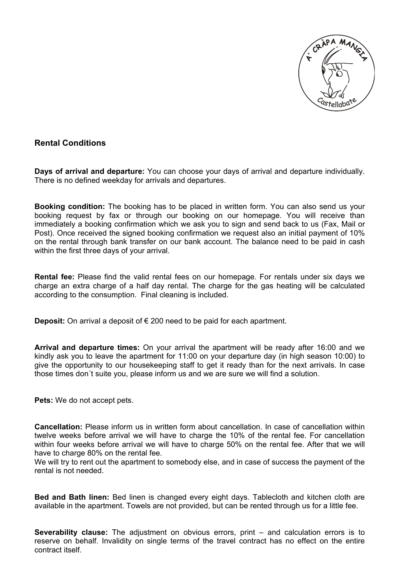

#### **Rental Conditions**

**Days of arrival and departure:** You can choose your days of arrival and departure individually. There is no defined weekday for arrivals and departures.

**Booking condition:** The booking has to be placed in written form. You can also send us your booking request by fax or through our booking on our homepage. You will receive than immediately a booking confirmation which we ask you to sign and send back to us (Fax, Mail or Post). Once received the signed booking confirmation we request also an initial payment of 10% on the rental through bank transfer on our bank account. The balance need to be paid in cash within the first three days of your arrival.

**Rental fee:** Please find the valid rental fees on our homepage. For rentals under six days we charge an extra charge of a half day rental. The charge for the gas heating will be calculated according to the consumption. Final cleaning is included.

**Deposit:** On arrival a deposit of € 200 need to be paid for each apartment.

**Arrival and departure times:** On your arrival the apartment will be ready after 16:00 and we kindly ask you to leave the apartment for 11:00 on your departure day (in high season 10:00) to give the opportunity to our housekeeping staff to get it ready than for the next arrivals. In case those times don´t suite you, please inform us and we are sure we will find a solution.

**Pets:** We do not accept pets.

**Cancellation:** Please inform us in written form about cancellation. In case of cancellation within twelve weeks before arrival we will have to charge the 10% of the rental fee. For cancellation within four weeks before arrival we will have to charge 50% on the rental fee. After that we will have to charge 80% on the rental fee.

We will try to rent out the apartment to somebody else, and in case of success the payment of the rental is not needed.

**Bed and Bath linen:** Bed linen is changed every eight days. Tablecloth and kitchen cloth are available in the apartment. Towels are not provided, but can be rented through us for a little fee.

**Severability clause:** The adjustment on obvious errors, print – and calculation errors is to reserve on behalf. Invalidity on single terms of the travel contract has no effect on the entire contract itself.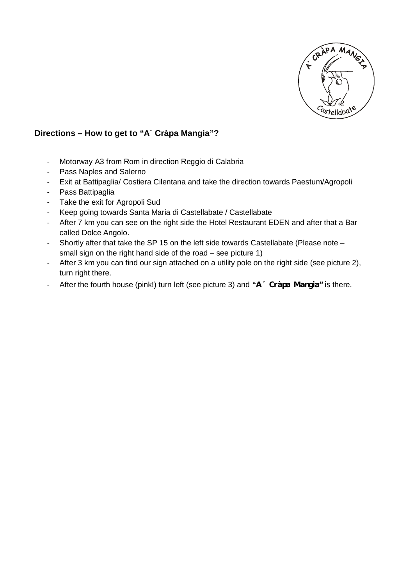

#### **Directions – How to get to "A´ Cràpa Mangia"?**

- Motorway A3 from Rom in direction Reggio di Calabria
- Pass Naples and Salerno
- Exit at Battipaglia/ Costiera Cilentana and take the direction towards Paestum/Agropoli
- Pass Battipaglia
- Take the exit for Agropoli Sud
- Keep going towards Santa Maria di Castellabate / Castellabate
- After 7 km you can see on the right side the Hotel Restaurant EDEN and after that a Bar called Dolce Angolo.
- Shortly after that take the SP 15 on the left side towards Castellabate (Please note small sign on the right hand side of the road – see picture 1)
- After 3 km you can find our sign attached on a utility pole on the right side (see picture 2), turn right there.
- After the fourth house (pink!) turn left (see picture 3) and **"A´ Cràpa Mangia"** is there.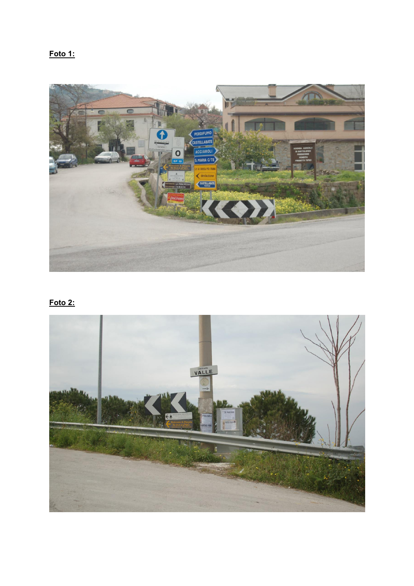## **Foto 1:**



## **Foto 2:**